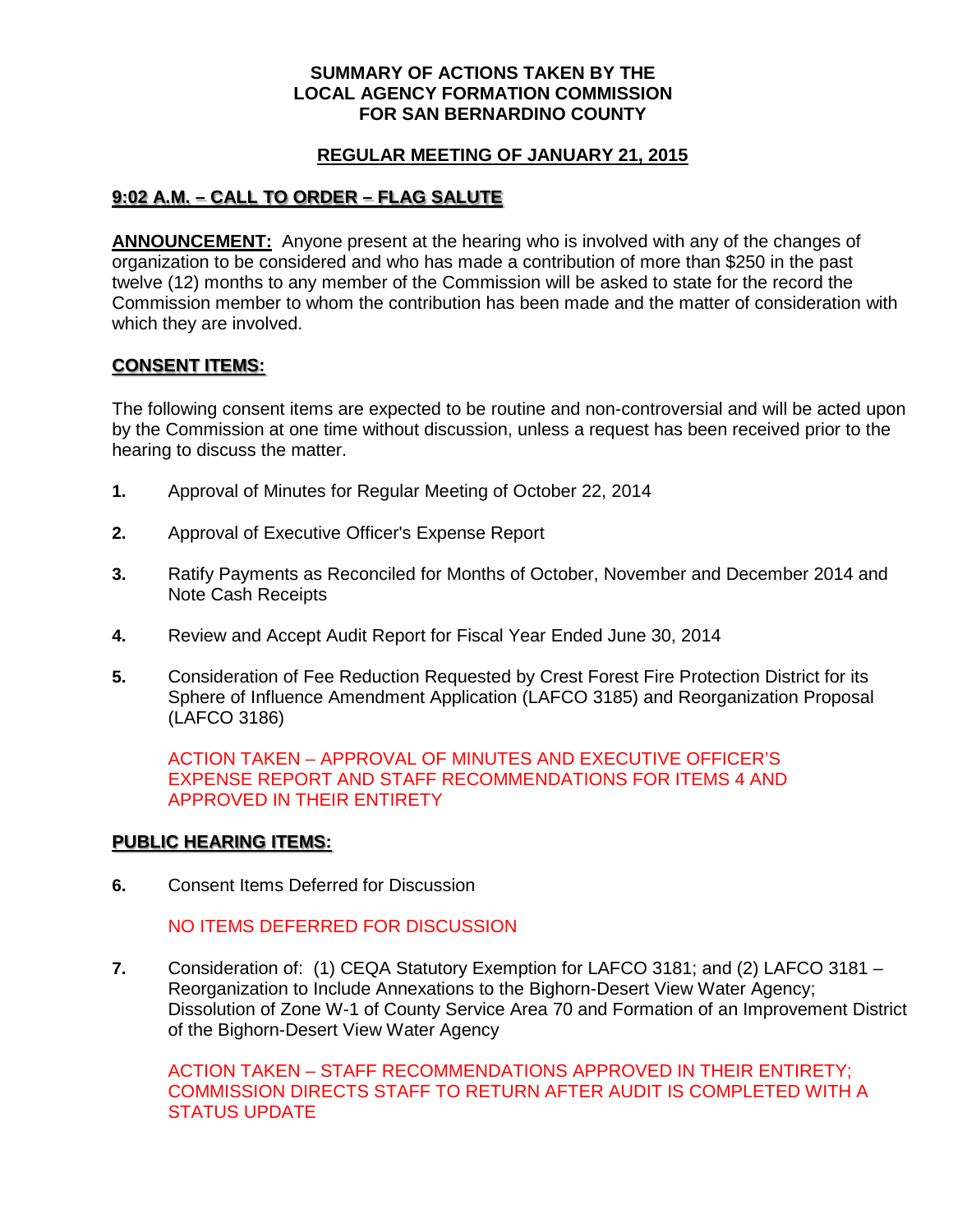#### **SUMMARY OF ACTIONS TAKEN BY THE LOCAL AGENCY FORMATION COMMISSION FOR SAN BERNARDINO COUNTY**

#### **REGULAR MEETING OF JANUARY 21, 2015**

# **9:02 A.M. – CALL TO ORDER – FLAG SALUTE**

**ANNOUNCEMENT:** Anyone present at the hearing who is involved with any of the changes of organization to be considered and who has made a contribution of more than \$250 in the past twelve (12) months to any member of the Commission will be asked to state for the record the Commission member to whom the contribution has been made and the matter of consideration with which they are involved.

### **CONSENT ITEMS:**

The following consent items are expected to be routine and non-controversial and will be acted upon by the Commission at one time without discussion, unless a request has been received prior to the hearing to discuss the matter.

- **1.** Approval of Minutes for Regular Meeting of October 22, 2014
- **2.** Approval of Executive Officer's Expense Report
- **3.** Ratify Payments as Reconciled for Months of October, November and December 2014 and Note Cash Receipts
- **4.** Review and Accept Audit Report for Fiscal Year Ended June 30, 2014
- **5.** Consideration of Fee Reduction Requested by Crest Forest Fire Protection District for its Sphere of Influence Amendment Application (LAFCO 3185) and Reorganization Proposal (LAFCO 3186)

ACTION TAKEN – APPROVAL OF MINUTES AND EXECUTIVE OFFICER'S EXPENSE REPORT AND STAFF RECOMMENDATIONS FOR ITEMS 4 AND APPROVED IN THEIR ENTIRETY

#### **PUBLIC HEARING ITEMS:**

**6.** Consent Items Deferred for Discussion

## NO ITEMS DEFERRED FOR DISCUSSION

**7.** Consideration of: (1) CEQA Statutory Exemption for LAFCO 3181; and (2) LAFCO 3181 – Reorganization to Include Annexations to the Bighorn-Desert View Water Agency; Dissolution of Zone W-1 of County Service Area 70 and Formation of an Improvement District of the Bighorn-Desert View Water Agency

ACTION TAKEN – STAFF RECOMMENDATIONS APPROVED IN THEIR ENTIRETY; COMMISSION DIRECTS STAFF TO RETURN AFTER AUDIT IS COMPLETED WITH A STATUS UPDATE